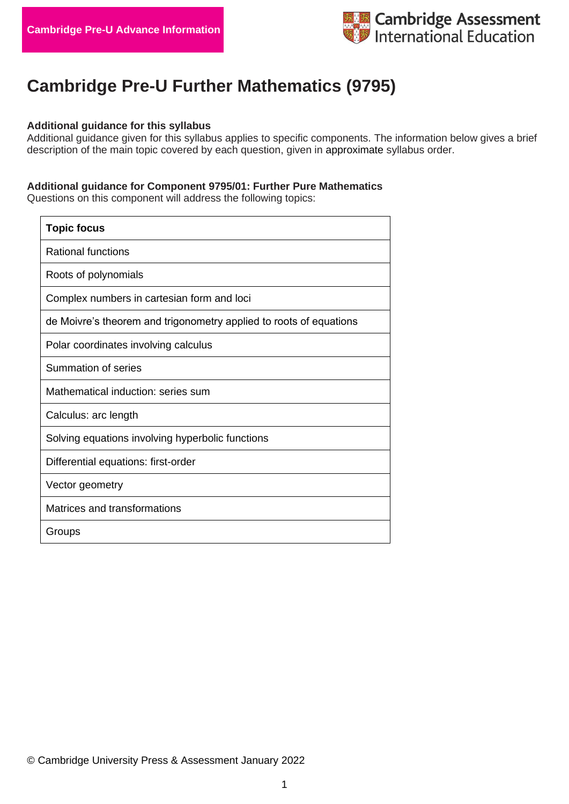

## **Cambridge Pre-U Further Mathematics (9795)**

## **Additional guidance for this syllabus**

Additional guidance given for this syllabus applies to specific components. The information below gives a brief description of the main topic covered by each question, given in approximate syllabus order.

## **Additional guidance for Component 9795/01: Further Pure Mathematics**

Questions on this component will address the following topics:

| <b>Topic focus</b>                                                 |
|--------------------------------------------------------------------|
| <b>Rational functions</b>                                          |
| Roots of polynomials                                               |
| Complex numbers in cartesian form and loci                         |
| de Moivre's theorem and trigonometry applied to roots of equations |
| Polar coordinates involving calculus                               |
| Summation of series                                                |
| Mathematical induction: series sum                                 |
| Calculus: arc length                                               |
| Solving equations involving hyperbolic functions                   |
| Differential equations: first-order                                |
| Vector geometry                                                    |
| Matrices and transformations                                       |
| Groups                                                             |